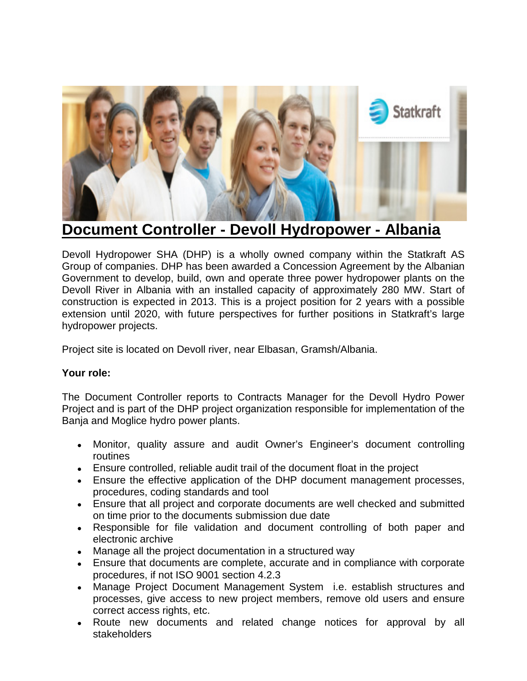

## **Document Controller - Devoll Hydropower - Albania**

Devoll Hydropower SHA (DHP) is a wholly owned company within the Statkraft AS Group of companies. DHP has been awarded a Concession Agreement by the Albanian Government to develop, build, own and operate three power hydropower plants on the Devoll River in Albania with an installed capacity of approximately 280 MW. Start of construction is expected in 2013. This is a project position for 2 years with a possible extension until 2020, with future perspectives for further positions in Statkraft's large hydropower projects.

Project site is located on Devoll river, near Elbasan, Gramsh/Albania.

## **Your role:**

The Document Controller reports to Contracts Manager for the Devoll Hydro Power Project and is part of the DHP project organization responsible for implementation of the Banja and Moglice hydro power plants.

- Monitor, quality assure and audit Owner's Engineer's document controlling routines
- Ensure controlled, reliable audit trail of the document float in the project
- Ensure the effective application of the DHP document management processes, procedures, coding standards and tool
- Ensure that all project and corporate documents are well checked and submitted on time prior to the documents submission due date
- Responsible for file validation and document controlling of both paper and electronic archive
- Manage all the project documentation in a structured way
- Ensure that documents are complete, accurate and in compliance with corporate procedures, if not ISO 9001 section 4.2.3
- Manage Project Document Management System i.e. establish structures and processes, give access to new project members, remove old users and ensure correct access rights, etc.
- Route new documents and related change notices for approval by all stakeholders